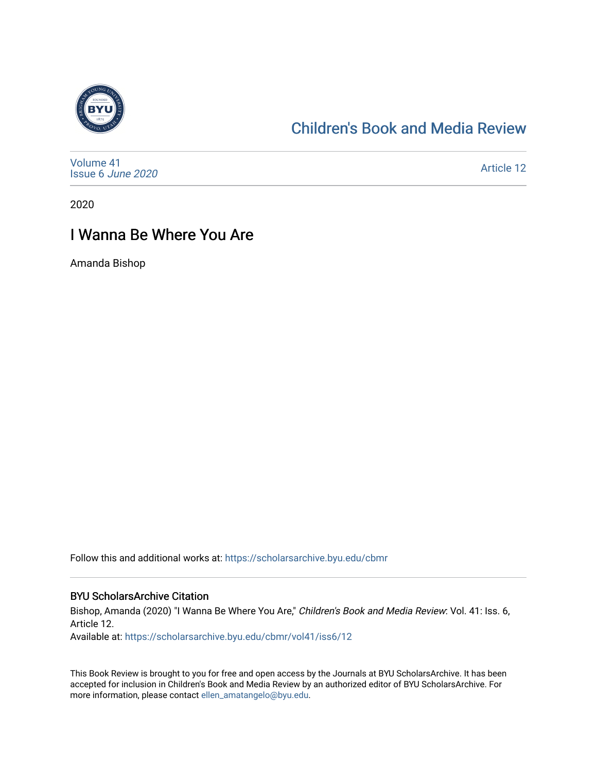

# [Children's Book and Media Review](https://scholarsarchive.byu.edu/cbmr)

| Volume 41<br>Issue 6 June 2020 | <b>Article 12</b> |
|--------------------------------|-------------------|
|--------------------------------|-------------------|

2020

# I Wanna Be Where You Are

Amanda Bishop

Follow this and additional works at: [https://scholarsarchive.byu.edu/cbmr](https://scholarsarchive.byu.edu/cbmr?utm_source=scholarsarchive.byu.edu%2Fcbmr%2Fvol41%2Fiss6%2F12&utm_medium=PDF&utm_campaign=PDFCoverPages) 

#### BYU ScholarsArchive Citation

Bishop, Amanda (2020) "I Wanna Be Where You Are," Children's Book and Media Review: Vol. 41: Iss. 6, Article 12.

Available at: [https://scholarsarchive.byu.edu/cbmr/vol41/iss6/12](https://scholarsarchive.byu.edu/cbmr/vol41/iss6/12?utm_source=scholarsarchive.byu.edu%2Fcbmr%2Fvol41%2Fiss6%2F12&utm_medium=PDF&utm_campaign=PDFCoverPages)

This Book Review is brought to you for free and open access by the Journals at BYU ScholarsArchive. It has been accepted for inclusion in Children's Book and Media Review by an authorized editor of BYU ScholarsArchive. For more information, please contact [ellen\\_amatangelo@byu.edu.](mailto:ellen_amatangelo@byu.edu)